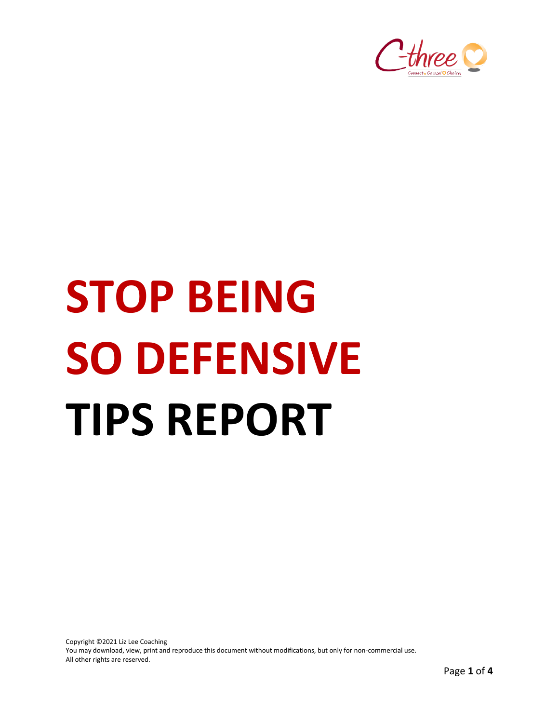

# **STOP BEING SO DEFENSIVE TIPS REPORT**

Copyright ©2021 Liz Lee Coaching You may download, view, print and reproduce this document without modifications, but only for non-commercial use. All other rights are reserved.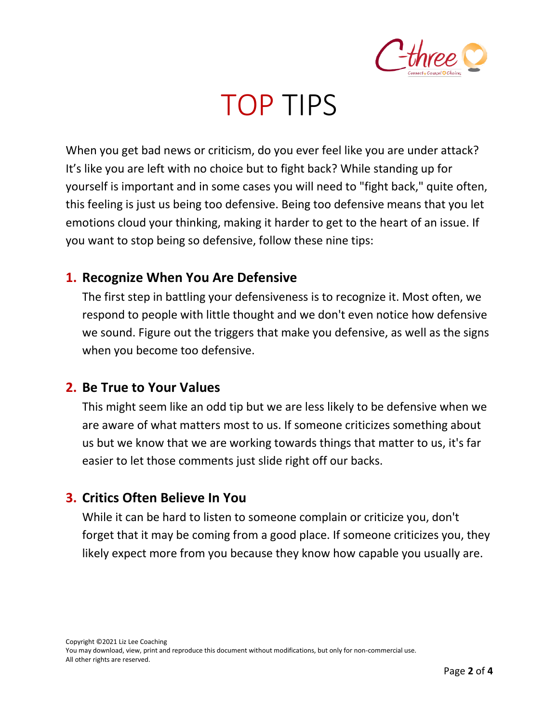

# TOP TIPS

When you get bad news or criticism, do you ever feel like you are under attack? It's like you are left with no choice but to fight back? While standing up for yourself is important and in some cases you will need to "fight back," quite often, this feeling is just us being too defensive. Being too defensive means that you let emotions cloud your thinking, making it harder to get to the heart of an issue. If you want to stop being so defensive, follow these nine tips:

#### **1. Recognize When You Are Defensive**

The first step in battling your defensiveness is to recognize it. Most often, we respond to people with little thought and we don't even notice how defensive we sound. Figure out the triggers that make you defensive, as well as the signs when you become too defensive.

#### **2. Be True to Your Values**

This might seem like an odd tip but we are less likely to be defensive when we are aware of what matters most to us. If someone criticizes something about us but we know that we are working towards things that matter to us, it's far easier to let those comments just slide right off our backs.

## **3. Critics Often Believe In You**

While it can be hard to listen to someone complain or criticize you, don't forget that it may be coming from a good place. If someone criticizes you, they likely expect more from you because they know how capable you usually are.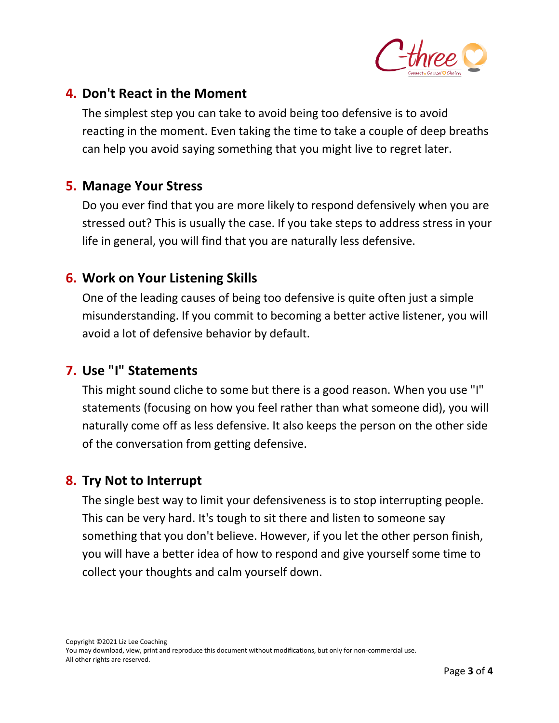

## **4. Don't React in the Moment**

The simplest step you can take to avoid being too defensive is to avoid reacting in the moment. Even taking the time to take a couple of deep breaths can help you avoid saying something that you might live to regret later.

#### **5. Manage Your Stress**

Do you ever find that you are more likely to respond defensively when you are stressed out? This is usually the case. If you take steps to address stress in your life in general, you will find that you are naturally less defensive.

#### **6. Work on Your Listening Skills**

One of the leading causes of being too defensive is quite often just a simple misunderstanding. If you commit to becoming a better active listener, you will avoid a lot of defensive behavior by default.

#### **7. Use "I" Statements**

This might sound cliche to some but there is a good reason. When you use "I" statements (focusing on how you feel rather than what someone did), you will naturally come off as less defensive. It also keeps the person on the other side of the conversation from getting defensive.

#### **8. Try Not to Interrupt**

The single best way to limit your defensiveness is to stop interrupting people. This can be very hard. It's tough to sit there and listen to someone say something that you don't believe. However, if you let the other person finish, you will have a better idea of how to respond and give yourself some time to collect your thoughts and calm yourself down.